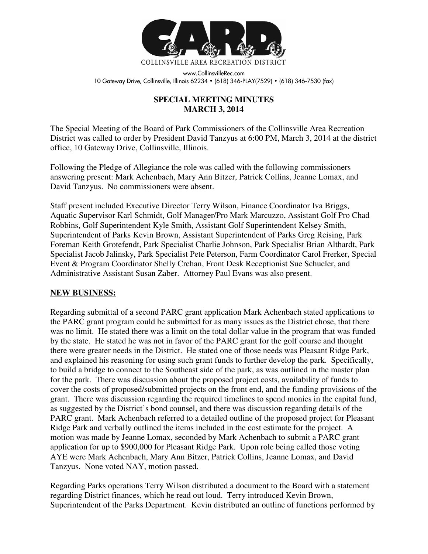

www.CollinsvilleRec.com 10 Gateway Drive, Collinsville, Illinois 62234 • (618) 346-PLAY(7529) • (618) 346-7530 (fax)

## **SPECIAL MEETING MINUTES MARCH 3, 2014**

The Special Meeting of the Board of Park Commissioners of the Collinsville Area Recreation District was called to order by President David Tanzyus at 6:00 PM, March 3, 2014 at the district office, 10 Gateway Drive, Collinsville, Illinois.

Following the Pledge of Allegiance the role was called with the following commissioners answering present: Mark Achenbach, Mary Ann Bitzer, Patrick Collins, Jeanne Lomax, and David Tanzyus. No commissioners were absent.

Staff present included Executive Director Terry Wilson, Finance Coordinator Iva Briggs, Aquatic Supervisor Karl Schmidt, Golf Manager/Pro Mark Marcuzzo, Assistant Golf Pro Chad Robbins, Golf Superintendent Kyle Smith, Assistant Golf Superintendent Kelsey Smith, Superintendent of Parks Kevin Brown, Assistant Superintendent of Parks Greg Reising, Park Foreman Keith Grotefendt, Park Specialist Charlie Johnson, Park Specialist Brian Althardt, Park Specialist Jacob Jalinsky, Park Specialist Pete Peterson, Farm Coordinator Carol Frerker, Special Event & Program Coordinator Shelly Crehan, Front Desk Receptionist Sue Schueler, and Administrative Assistant Susan Zaber. Attorney Paul Evans was also present.

## **NEW BUSINESS:**

Regarding submittal of a second PARC grant application Mark Achenbach stated applications to the PARC grant program could be submitted for as many issues as the District chose, that there was no limit. He stated there was a limit on the total dollar value in the program that was funded by the state. He stated he was not in favor of the PARC grant for the golf course and thought there were greater needs in the District. He stated one of those needs was Pleasant Ridge Park, and explained his reasoning for using such grant funds to further develop the park. Specifically, to build a bridge to connect to the Southeast side of the park, as was outlined in the master plan for the park. There was discussion about the proposed project costs, availability of funds to cover the costs of proposed/submitted projects on the front end, and the funding provisions of the grant. There was discussion regarding the required timelines to spend monies in the capital fund, as suggested by the District's bond counsel, and there was discussion regarding details of the PARC grant. Mark Achenbach referred to a detailed outline of the proposed project for Pleasant Ridge Park and verbally outlined the items included in the cost estimate for the project. A motion was made by Jeanne Lomax, seconded by Mark Achenbach to submit a PARC grant application for up to \$900,000 for Pleasant Ridge Park. Upon role being called those voting AYE were Mark Achenbach, Mary Ann Bitzer, Patrick Collins, Jeanne Lomax, and David Tanzyus. None voted NAY, motion passed.

Regarding Parks operations Terry Wilson distributed a document to the Board with a statement regarding District finances, which he read out loud. Terry introduced Kevin Brown, Superintendent of the Parks Department. Kevin distributed an outline of functions performed by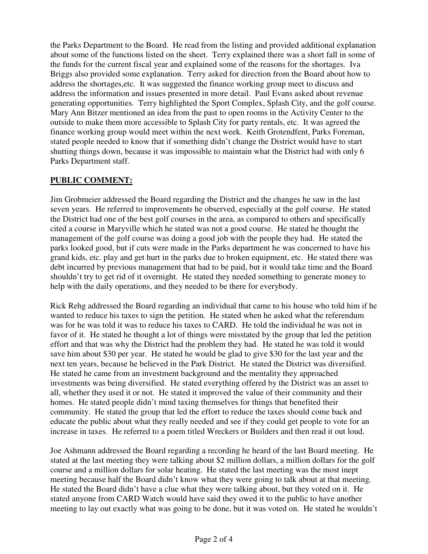the Parks Department to the Board. He read from the listing and provided additional explanation about some of the functions listed on the sheet. Terry explained there was a short fall in some of the funds for the current fiscal year and explained some of the reasons for the shortages. Iva Briggs also provided some explanation. Terry asked for direction from the Board about how to address the shortages,etc. It was suggested the finance working group meet to discuss and address the information and issues presented in more detail. Paul Evans asked about revenue generating opportunities. Terry highlighted the Sport Complex, Splash City, and the golf course. Mary Ann Bitzer mentioned an idea from the past to open rooms in the Activity Center to the outside to make them more accessible to Splash City for party rentals, etc. It was agreed the finance working group would meet within the next week. Keith Grotendfent, Parks Foreman, stated people needed to know that if something didn't change the District would have to start shutting things down, because it was impossible to maintain what the District had with only 6 Parks Department staff.

## **PUBLIC COMMENT:**

Jim Grobmeier addressed the Board regarding the District and the changes he saw in the last seven years. He referred to improvements he observed, especially at the golf course. He stated the District had one of the best golf courses in the area, as compared to others and specifically cited a course in Maryville which he stated was not a good course. He stated he thought the management of the golf course was doing a good job with the people they had. He stated the parks looked good, but if cuts were made in the Parks department he was concerned to have his grand kids, etc. play and get hurt in the parks due to broken equipment, etc. He stated there was debt incurred by previous management that had to be paid, but it would take time and the Board shouldn't try to get rid of it overnight. He stated they needed something to generate money to help with the daily operations, and they needed to be there for everybody.

Rick Rehg addressed the Board regarding an individual that came to his house who told him if he wanted to reduce his taxes to sign the petition. He stated when he asked what the referendum was for he was told it was to reduce his taxes to CARD. He told the individual he was not in favor of it. He stated he thought a lot of things were misstated by the group that led the petition effort and that was why the District had the problem they had. He stated he was told it would save him about \$30 per year. He stated he would be glad to give \$30 for the last year and the next ten years, because he believed in the Park District. He stated the District was diversified. He stated he came from an investment background and the mentality they approached investments was being diversified. He stated everything offered by the District was an asset to all, whether they used it or not. He stated it improved the value of their community and their homes. He stated people didn't mind taxing themselves for things that benefited their community. He stated the group that led the effort to reduce the taxes should come back and educate the public about what they really needed and see if they could get people to vote for an increase in taxes. He referred to a poem titled Wreckers or Builders and then read it out loud.

Joe Ashmann addressed the Board regarding a recording he heard of the last Board meeting. He stated at the last meeting they were talking about \$2 million dollars, a million dollars for the golf course and a million dollars for solar heating. He stated the last meeting was the most inept meeting because half the Board didn't know what they were going to talk about at that meeting. He stated the Board didn't have a clue what they were talking about, but they voted on it. He stated anyone from CARD Watch would have said they owed it to the public to have another meeting to lay out exactly what was going to be done, but it was voted on. He stated he wouldn't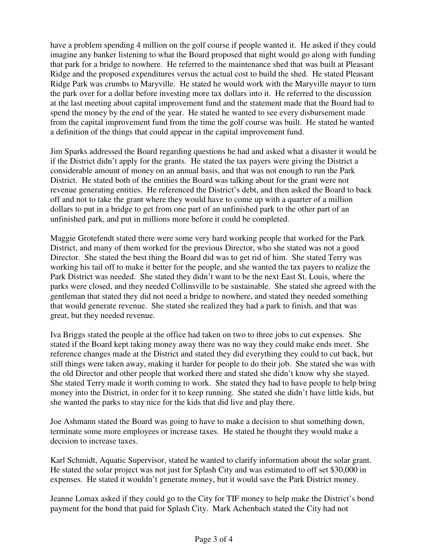have a problem spending 4 million on the golf course if people wanted it. He asked if they could imagine any banker listening to what the Board proposed that night would go along with funding that park for a bridge to nowhere. He referred to the maintenance shed that was built at Pleasant Ridge and the proposed expenditures versus the actual cost to build the shed. He stated Pleasant Ridge Park was crumbs to Maryville. He stated he would work with the Maryville mayor to turn the park over for a dollar before investing more tax dollars into it. He referred to the discussion at the last meeting about capital improvement fund and the statement made that the Board had to spend the money by the end of the year. He stated he wanted to see every disbursement made from the capital improvement fund from the time the golf course was built. He stated he wanted a definition of the things that could appear in the capital improvement fund.

Jim Sparks addressed the Board regarding questions he had and asked what a disaster it would be if the District didn't apply for the grants. He stated the tax payers were giving the District a considerable amount of money on an annual basis, and that was not enough to run the Park District. He stated both of the entities the Board was talking about for the grant were not revenue generating entities. He referenced the District's debt, and then asked the Board to back off and not to take the grant where they would have to come up with a quarter of a million dollars to put in a bridge to get from one part of an unfinished park to the other part of an unfinished park, and put in millions more before it could be completed.

Maggie Grotefendt stated there were some very hard working people that worked for the Park District, and many of them worked for the previous Director, who she stated was not a good Director. She stated the best thing the Board did was to get rid of him. She stated Terry was working his tail off to make it better for the people, and she wanted the tax payers to realize the Park District was needed. She stated they didn't want to be the next East St. Louis, where the parks were closed, and they needed Collinsville to be sustainable. She stated she agreed with the gentleman that stated they did not need a bridge to nowhere, and stated they needed something that would generate revenue. She stated she realized they had a park to finish, and that was great, but they needed revenue.

Iva Briggs stated the people at the office had taken on two to three jobs to cut expenses. She stated if the Board kept taking money away there was no way they could make ends meet. She reference changes made at the District and stated they did everything they could to cut back, but still things were taken away, making it harder for people to do their job. She stated she was with the old Director and other people that worked there and stated she didn't know why she stayed. She stated Terry made it worth coming to work. She stated they had to have people to help bring money into the District, in order for it to keep running. She stated she didn't have little kids, but she wanted the parks to stay nice for the kids that did live and play there.

Joe Ashmann stated the Board was going to have to make a decision to shut something down, terminate some more employees or increase taxes. He stated he thought they would make a decision to increase taxes.

Karl Schmidt, Aquatic Supervisor, stated he wanted to clarify information about the solar grant. He stated the solar project was not just for Splash City and was estimated to off set \$30,000 in expenses. He stated it wouldn't generate money, but it would save the Park District money.

Jeanne Lomax asked if they could go to the City for TIF money to help make the District's bond payment for the bond that paid for Splash City. Mark Achenbach stated the City had not